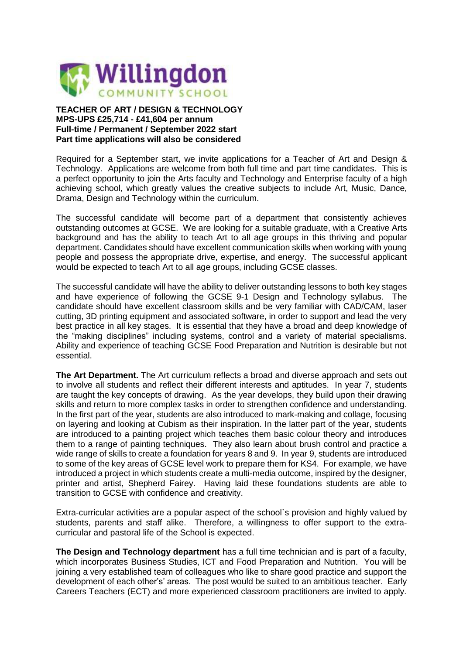

## **TEACHER OF ART / DESIGN & TECHNOLOGY MPS-UPS £25,714 - £41,604 per annum Full-time / Permanent / September 2022 start Part time applications will also be considered**

Required for a September start, we invite applications for a Teacher of Art and Design & Technology. Applications are welcome from both full time and part time candidates. This is a perfect opportunity to join the Arts faculty and Technology and Enterprise faculty of a high achieving school, which greatly values the creative subjects to include Art, Music, Dance, Drama, Design and Technology within the curriculum.

The successful candidate will become part of a department that consistently achieves outstanding outcomes at GCSE. We are looking for a suitable graduate, with a Creative Arts background and has the ability to teach Art to all age groups in this thriving and popular department. Candidates should have excellent communication skills when working with young people and possess the appropriate drive, expertise, and energy. The successful applicant would be expected to teach Art to all age groups, including GCSE classes.

The successful candidate will have the ability to deliver outstanding lessons to both key stages and have experience of following the GCSE 9-1 Design and Technology syllabus. The candidate should have excellent classroom skills and be very familiar with CAD/CAM, laser cutting, 3D printing equipment and associated software, in order to support and lead the very best practice in all key stages. It is essential that they have a broad and deep knowledge of the "making disciplines" including systems, control and a variety of material specialisms. Ability and experience of teaching GCSE Food Preparation and Nutrition is desirable but not essential.

**The Art Department.** The Art curriculum reflects a broad and diverse approach and sets out to involve all students and reflect their different interests and aptitudes. In year 7, students are taught the key concepts of drawing. As the year develops, they build upon their drawing skills and return to more complex tasks in order to strengthen confidence and understanding. In the first part of the year, students are also introduced to mark-making and collage, focusing on layering and looking at Cubism as their inspiration. In the latter part of the year, students are introduced to a painting project which teaches them basic colour theory and introduces them to a range of painting techniques. They also learn about brush control and practice a wide range of skills to create a foundation for years 8 and 9. In year 9, students are introduced to some of the key areas of GCSE level work to prepare them for KS4. For example, we have introduced a project in which students create a multi-media outcome, inspired by the designer, printer and artist, Shepherd Fairey. Having laid these foundations students are able to transition to GCSE with confidence and creativity.

Extra-curricular activities are a popular aspect of the school`s provision and highly valued by students, parents and staff alike. Therefore, a willingness to offer support to the extracurricular and pastoral life of the School is expected.

**The Design and Technology department** has a full time technician and is part of a faculty, which incorporates Business Studies, ICT and Food Preparation and Nutrition. You will be joining a very established team of colleagues who like to share good practice and support the development of each other's' areas. The post would be suited to an ambitious teacher. Early Careers Teachers (ECT) and more experienced classroom practitioners are invited to apply.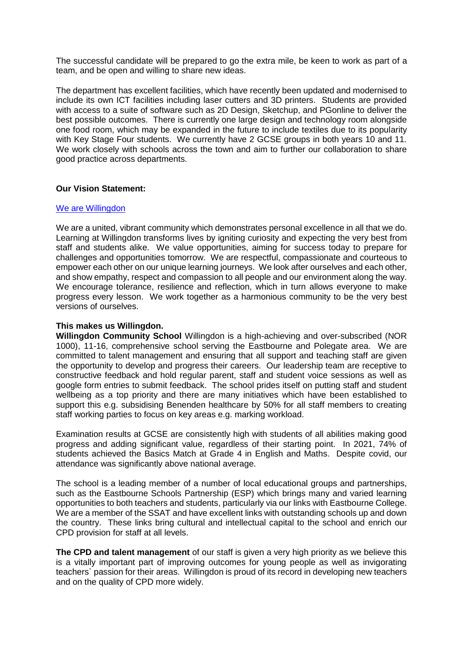The successful candidate will be prepared to go the extra mile, be keen to work as part of a team, and be open and willing to share new ideas.

The department has excellent facilities, which have recently been updated and modernised to include its own ICT facilities including laser cutters and 3D printers. Students are provided with access to a suite of software such as 2D Design, Sketchup, and PGonline to deliver the best possible outcomes. There is currently one large design and technology room alongside one food room, which may be expanded in the future to include textiles due to its popularity with Key Stage Four students. We currently have 2 GCSE groups in both years 10 and 11. We work closely with schools across the town and aim to further our collaboration to share good practice across departments.

## **Our Vision Statement:**

#### We are [Willingdon](https://www.youtube.com/watch?v=hh3vC1yX3CI)

We are a united, vibrant community which demonstrates personal excellence in all that we do. Learning at Willingdon transforms lives by igniting curiosity and expecting the very best from staff and students alike. We value opportunities, aiming for success today to prepare for challenges and opportunities tomorrow. We are respectful, compassionate and courteous to empower each other on our unique learning journeys. We look after ourselves and each other, and show empathy, respect and compassion to all people and our environment along the way. We encourage tolerance, resilience and reflection, which in turn allows everyone to make progress every lesson. We work together as a harmonious community to be the very best versions of ourselves.

## **This makes us Willingdon.**

**Willingdon Community School** Willingdon is a high-achieving and over-subscribed (NOR 1000), 11-16, comprehensive school serving the Eastbourne and Polegate area. We are committed to talent management and ensuring that all support and teaching staff are given the opportunity to develop and progress their careers. Our leadership team are receptive to constructive feedback and hold regular parent, staff and student voice sessions as well as google form entries to submit feedback. The school prides itself on putting staff and student wellbeing as a top priority and there are many initiatives which have been established to support this e.g. subsidising Benenden healthcare by 50% for all staff members to creating staff working parties to focus on key areas e.g. marking workload.

Examination results at GCSE are consistently high with students of all abilities making good progress and adding significant value, regardless of their starting point. In 2021, 74% of students achieved the Basics Match at Grade 4 in English and Maths. Despite covid, our attendance was significantly above national average.

The school is a leading member of a number of local educational groups and partnerships, such as the Eastbourne Schools Partnership (ESP) which brings many and varied learning opportunities to both teachers and students, particularly via our links with Eastbourne College. We are a member of the SSAT and have excellent links with outstanding schools up and down the country. These links bring cultural and intellectual capital to the school and enrich our CPD provision for staff at all levels.

**The CPD and talent management** of our staff is given a very high priority as we believe this is a vitally important part of improving outcomes for young people as well as invigorating teachers` passion for their areas. Willingdon is proud of its record in developing new teachers and on the quality of CPD more widely.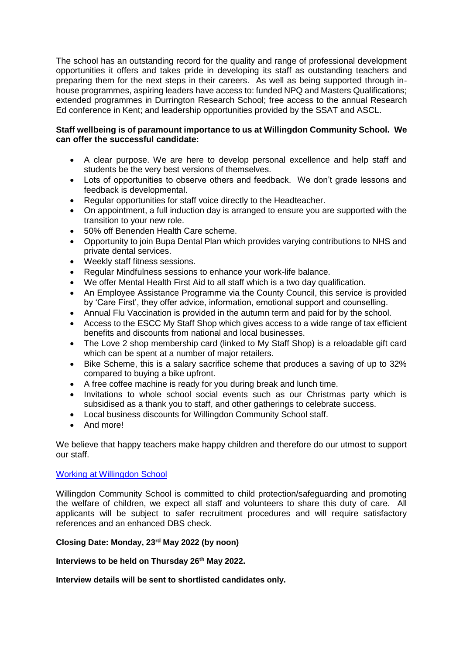The school has an outstanding record for the quality and range of professional development opportunities it offers and takes pride in developing its staff as outstanding teachers and preparing them for the next steps in their careers. As well as being supported through inhouse programmes, aspiring leaders have access to: funded NPQ and Masters Qualifications; extended programmes in Durrington Research School; free access to the annual Research Ed conference in Kent; and leadership opportunities provided by the SSAT and ASCL.

# **Staff wellbeing is of paramount importance to us at Willingdon Community School. We can offer the successful candidate:**

- A clear purpose. We are here to develop personal excellence and help staff and students be the very best versions of themselves.
- Lots of opportunities to observe others and feedback. We don't grade lessons and feedback is developmental.
- Regular opportunities for staff voice directly to the Headteacher.
- On appointment, a full induction day is arranged to ensure you are supported with the transition to your new role.
- 50% off Benenden Health Care scheme.
- Opportunity to join Bupa Dental Plan which provides varying contributions to NHS and private dental services.
- Weekly staff fitness sessions.
- Regular Mindfulness sessions to enhance your work-life balance.
- We offer Mental Health First Aid to all staff which is a two day qualification.
- An Employee Assistance Programme via the County Council, this service is provided by 'Care First', they offer advice, information, emotional support and counselling.
- Annual Flu Vaccination is provided in the autumn term and paid for by the school.
- Access to the ESCC My Staff Shop which gives access to a wide range of tax efficient benefits and discounts from national and local businesses.
- The Love 2 shop membership card (linked to My Staff Shop) is a reloadable gift card which can be spent at a number of major retailers.
- Bike Scheme, this is a salary sacrifice scheme that produces a saving of up to 32% compared to buying a bike upfront.
- A free coffee machine is ready for you during break and lunch time.
- Invitations to whole school social events such as our Christmas party which is subsidised as a thank you to staff, and other gatherings to celebrate success.
- Local business discounts for Willingdon Community School staff.
- And more!

We believe that happy teachers make happy children and therefore do our utmost to support our staff.

# [Working at Willingdon School](https://www.youtube.com/watch?v=N3k89MR2IpA)

Willingdon Community School is committed to child protection/safeguarding and promoting the welfare of children, we expect all staff and volunteers to share this duty of care. All applicants will be subject to safer recruitment procedures and will require satisfactory references and an enhanced DBS check.

# **Closing Date: Monday, 23rd May 2022 (by noon)**

**Interviews to be held on Thursday 26th May 2022.**

**Interview details will be sent to shortlisted candidates only.**